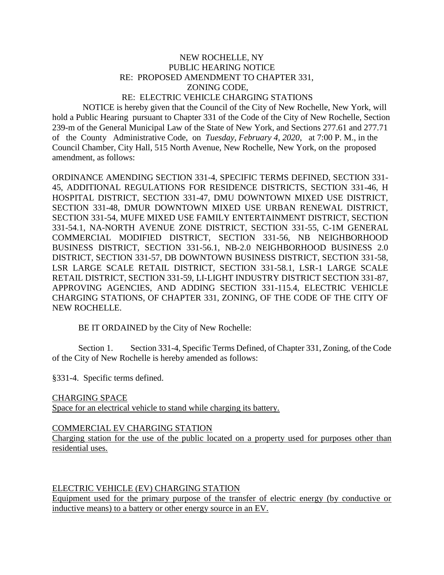### NEW ROCHELLE, NY PUBLIC HEARING NOTICE RE: PROPOSED AMENDMENT TO CHAPTER 331, ZONING CODE, RE: ELECTRIC VEHICLE CHARGING STATIONS

 NOTICE is hereby given that the Council of the City of New Rochelle, New York, will hold a Public Hearing pursuant to Chapter 331 of the Code of the City of New Rochelle, Section 239-m of the General Municipal Law of the State of New York, and Sections 277.61 and 277.71 of the County Administrative Code, on *Tuesday, February 4, 2020*, at 7:00 P. M., in the Council Chamber, City Hall, 515 North Avenue, New Rochelle, New York, on the proposed amendment, as follows:

ORDINANCE AMENDING SECTION 331-4, SPECIFIC TERMS DEFINED, SECTION 331- 45, ADDITIONAL REGULATIONS FOR RESIDENCE DISTRICTS, SECTION 331-46, H HOSPITAL DISTRICT, SECTION 331-47, DMU DOWNTOWN MIXED USE DISTRICT, SECTION 331-48, DMUR DOWNTOWN MIXED USE URBAN RENEWAL DISTRICT, SECTION 331-54, MUFE MIXED USE FAMILY ENTERTAINMENT DISTRICT, SECTION 331-54.1, NA-NORTH AVENUE ZONE DISTRICT, SECTION 331-55, C-1M GENERAL COMMERCIAL MODIFIED DISTRICT, SECTION 331-56, NB NEIGHBORHOOD BUSINESS DISTRICT, SECTION 331-56.1, NB-2.0 NEIGHBORHOOD BUSINESS 2.0 DISTRICT, SECTION 331-57, DB DOWNTOWN BUSINESS DISTRICT, SECTION 331-58, LSR LARGE SCALE RETAIL DISTRICT, SECTION 331-58.1, LSR-1 LARGE SCALE RETAIL DISTRICT, SECTION 331-59, LI-LIGHT INDUSTRY DISTRICT SECTION 331-87, APPROVING AGENCIES, AND ADDING SECTION 331-115.4, ELECTRIC VEHICLE CHARGING STATIONS, OF CHAPTER 331, ZONING, OF THE CODE OF THE CITY OF NEW ROCHELLE.

BE IT ORDAINED by the City of New Rochelle:

Section 1. Section 331-4, Specific Terms Defined, of Chapter 331, Zoning, of the Code of the City of New Rochelle is hereby amended as follows:

§331-4. Specific terms defined.

#### CHARGING SPACE

Space for an electrical vehicle to stand while charging its battery.

#### COMMERCIAL EV CHARGING STATION

Charging station for the use of the public located on a property used for purposes other than residential uses.

### ELECTRIC VEHICLE (EV) CHARGING STATION

Equipment used for the primary purpose of the transfer of electric energy (by conductive or inductive means) to a battery or other energy source in an EV.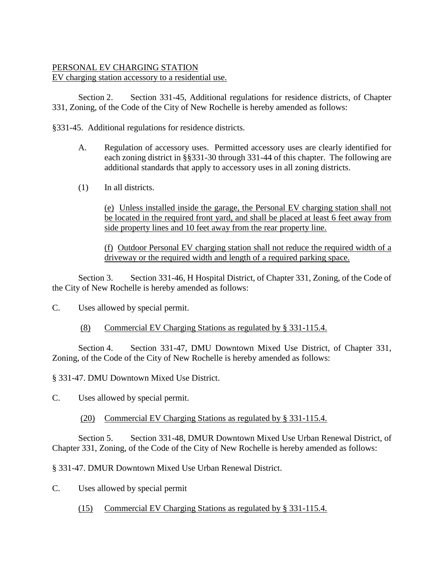# PERSONAL EV CHARGING STATION EV charging station accessory to a residential use.

Section 2. Section 331-45, Additional regulations for residence districts, of Chapter 331, Zoning, of the Code of the City of New Rochelle is hereby amended as follows:

§331-45. Additional regulations for residence districts.

- A. Regulation of accessory uses. Permitted accessory uses are clearly identified for each zoning district in §§331-30 through 331-44 of this chapter. The following are additional standards that apply to accessory uses in all zoning districts.
- (1) In all districts.

(e) Unless installed inside the garage, the Personal EV charging station shall not be located in the required front yard, and shall be placed at least 6 feet away from side property lines and 10 feet away from the rear property line.

(f) Outdoor Personal EV charging station shall not reduce the required width of a driveway or the required width and length of a required parking space.

Section 3. Section 331-46, H Hospital District, of Chapter 331, Zoning, of the Code of the City of New Rochelle is hereby amended as follows:

C. Uses allowed by special permit.

# (8) Commercial EV Charging Stations as regulated by § 331-115.4.

Section 4. Section 331-47, DMU Downtown Mixed Use District, of Chapter 331, Zoning, of the Code of the City of New Rochelle is hereby amended as follows:

§ 331-47. DMU Downtown Mixed Use District.

C. Uses allowed by special permit.

## (20) Commercial EV Charging Stations as regulated by § 331-115.4.

Section 5. Section 331-48, DMUR Downtown Mixed Use Urban Renewal District, of Chapter 331, Zoning, of the Code of the City of New Rochelle is hereby amended as follows:

§ 331-47. DMUR Downtown Mixed Use Urban Renewal District.

- C. Uses allowed by special permit
	- (15) Commercial EV Charging Stations as regulated by § 331-115.4.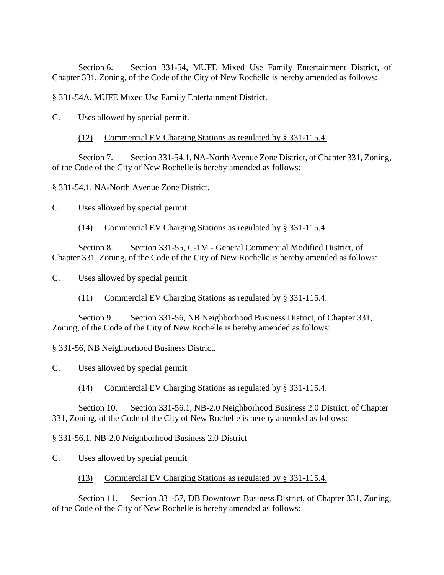Section 6. Section 331-54, MUFE Mixed Use Family Entertainment District, of Chapter 331, Zoning, of the Code of the City of New Rochelle is hereby amended as follows:

§ 331-54A. MUFE Mixed Use Family Entertainment District.

C. Uses allowed by special permit.

(12) Commercial EV Charging Stations as regulated by § 331-115.4.

Section 7. Section 331-54.1, NA-North Avenue Zone District, of Chapter 331, Zoning, of the Code of the City of New Rochelle is hereby amended as follows:

§ 331-54.1. NA-North Avenue Zone District.

C. Uses allowed by special permit

(14) Commercial EV Charging Stations as regulated by § 331-115.4.

Section 8. Section 331-55, C-1M - General Commercial Modified District, of Chapter 331, Zoning, of the Code of the City of New Rochelle is hereby amended as follows:

C. Uses allowed by special permit

(11) Commercial EV Charging Stations as regulated by § 331-115.4.

Section 9. Section 331-56, NB Neighborhood Business District, of Chapter 331, Zoning, of the Code of the City of New Rochelle is hereby amended as follows:

§ 331-56, NB Neighborhood Business District.

C. Uses allowed by special permit

(14) Commercial EV Charging Stations as regulated by § 331-115.4.

Section 10. Section 331-56.1, NB-2.0 Neighborhood Business 2.0 District, of Chapter 331, Zoning, of the Code of the City of New Rochelle is hereby amended as follows:

§ 331-56.1, NB-2.0 Neighborhood Business 2.0 District

C. Uses allowed by special permit

(13) Commercial EV Charging Stations as regulated by § 331-115.4.

Section 11. Section 331-57, DB Downtown Business District, of Chapter 331, Zoning, of the Code of the City of New Rochelle is hereby amended as follows: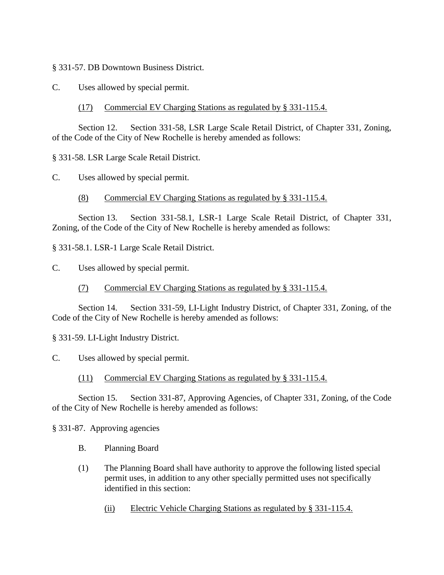§ 331-57. DB Downtown Business District.

C. Uses allowed by special permit.

(17) Commercial EV Charging Stations as regulated by § 331-115.4.

Section 12. Section 331-58, LSR Large Scale Retail District, of Chapter 331, Zoning, of the Code of the City of New Rochelle is hereby amended as follows:

§ 331-58. LSR Large Scale Retail District.

C. Uses allowed by special permit.

(8) Commercial EV Charging Stations as regulated by § 331-115.4.

Section 13. Section 331-58.1, LSR-1 Large Scale Retail District, of Chapter 331, Zoning, of the Code of the City of New Rochelle is hereby amended as follows:

§ 331-58.1. LSR-1 Large Scale Retail District.

C. Uses allowed by special permit.

(7) Commercial EV Charging Stations as regulated by § 331-115.4.

Section 14. Section 331-59, LI-Light Industry District, of Chapter 331, Zoning, of the Code of the City of New Rochelle is hereby amended as follows:

§ 331-59. LI-Light Industry District.

C. Uses allowed by special permit.

(11) Commercial EV Charging Stations as regulated by § 331-115.4.

Section 15. Section 331-87, Approving Agencies, of Chapter 331, Zoning, of the Code of the City of New Rochelle is hereby amended as follows:

§ 331-87. Approving agencies

- B. Planning Board
- (1) The Planning Board shall have authority to approve the following listed special permit uses, in addition to any other specially permitted uses not specifically identified in this section:

(ii) Electric Vehicle Charging Stations as regulated by § 331-115.4.